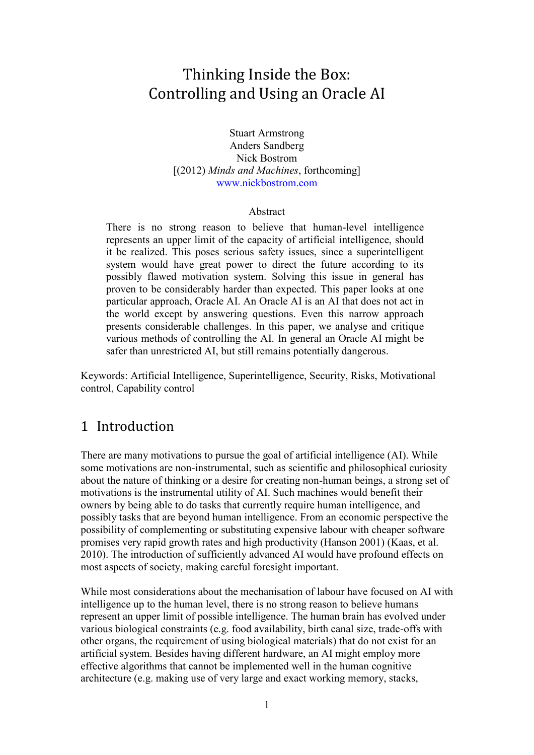# Thinking Inside the Box: Controlling and Using an Oracle AI

Stuart Armstrong Anders Sandberg Nick Bostrom [(2012) *Minds and Machines*, forthcoming] [www.nickbostrom.com](http://www.nickbostrom.com/)

#### Abstract

There is no strong reason to believe that human-level intelligence represents an upper limit of the capacity of artificial intelligence, should it be realized. This poses serious safety issues, since a superintelligent system would have great power to direct the future according to its possibly flawed motivation system. Solving this issue in general has proven to be considerably harder than expected. This paper looks at one particular approach, Oracle AI. An Oracle AI is an AI that does not act in the world except by answering questions. Even this narrow approach presents considerable challenges. In this paper, we analyse and critique various methods of controlling the AI. In general an Oracle AI might be safer than unrestricted AI, but still remains potentially dangerous.

Keywords: Artificial Intelligence, Superintelligence, Security, Risks, Motivational control, Capability control

## 1 Introduction

There are many motivations to pursue the goal of artificial intelligence (AI). While some motivations are non-instrumental, such as scientific and philosophical curiosity about the nature of thinking or a desire for creating non-human beings, a strong set of motivations is the instrumental utility of AI. Such machines would benefit their owners by being able to do tasks that currently require human intelligence, and possibly tasks that are beyond human intelligence. From an economic perspective the possibility of complementing or substituting expensive labour with cheaper software promises very rapid growth rates and high productivity (Hanson 2001) (Kaas, et al. 2010). The introduction of sufficiently advanced AI would have profound effects on most aspects of society, making careful foresight important.

While most considerations about the mechanisation of labour have focused on AI with intelligence up to the human level, there is no strong reason to believe humans represent an upper limit of possible intelligence. The human brain has evolved under various biological constraints (e.g. food availability, birth canal size, trade-offs with other organs, the requirement of using biological materials) that do not exist for an artificial system. Besides having different hardware, an AI might employ more effective algorithms that cannot be implemented well in the human cognitive architecture (e.g. making use of very large and exact working memory, stacks,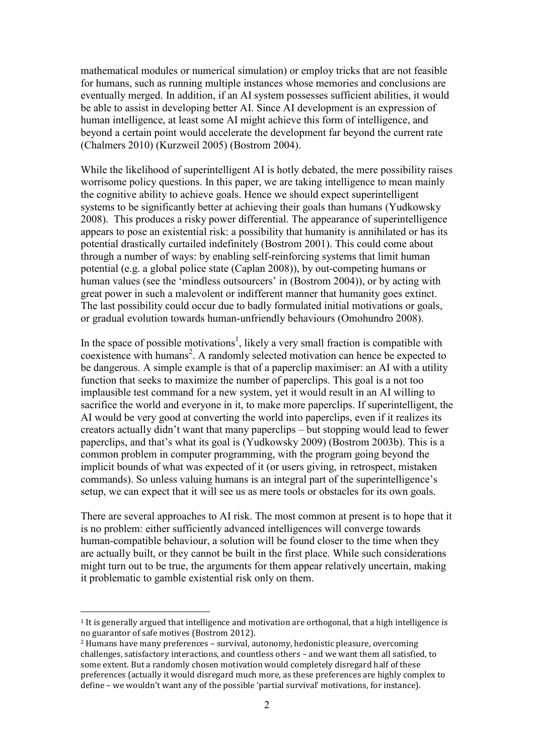mathematical modules or numerical simulation) or employ tricks that are not feasible for humans, such as running multiple instances whose memories and conclusions are eventually merged. In addition, if an AI system possesses sufficient abilities, it would be able to assist in developing better AI. Since AI development is an expression of human intelligence, at least some AI might achieve this form of intelligence, and beyond a certain point would accelerate the development far beyond the current rate (Chalmers 2010) (Kurzweil 2005) (Bostrom 2004).

While the likelihood of superintelligent AI is hotly debated, the mere possibility raises worrisome policy questions. In this paper, we are taking intelligence to mean mainly the cognitive ability to achieve goals. Hence we should expect superintelligent systems to be significantly better at achieving their goals than humans (Yudkowsky 2008). This produces a risky power differential. The appearance of superintelligence appears to pose an existential risk: a possibility that humanity is annihilated or has its potential drastically curtailed indefinitely (Bostrom 2001). This could come about through a number of ways: by enabling self-reinforcing systems that limit human potential (e.g. a global police state (Caplan 2008)), by out-competing humans or human values (see the 'mindless outsourcers' in (Bostrom 2004)), or by acting with great power in such a malevolent or indifferent manner that humanity goes extinct. The last possibility could occur due to badly formulated initial motivations or goals, or gradual evolution towards human-unfriendly behaviours (Omohundro 2008).

In the space of possible motivations<sup>1</sup>, likely a very small fraction is compatible with coexistence with humans<sup>2</sup>. A randomly selected motivation can hence be expected to be dangerous. A simple example is that of a paperclip maximiser: an AI with a utility function that seeks to maximize the number of paperclips. This goal is a not too implausible test command for a new system, yet it would result in an AI willing to sacrifice the world and everyone in it, to make more paperclips. If superintelligent, the AI would be very good at converting the world into paperclips, even if it realizes its creators actually didn't want that many paperclips – but stopping would lead to fewer paperclips, and that's what its goal is (Yudkowsky 2009) (Bostrom 2003b). This is a common problem in computer programming, with the program going beyond the implicit bounds of what was expected of it (or users giving, in retrospect, mistaken commands). So unless valuing humans is an integral part of the superintelligence's setup, we can expect that it will see us as mere tools or obstacles for its own goals.

There are several approaches to AI risk. The most common at present is to hope that it is no problem: either sufficiently advanced intelligences will converge towards human-compatible behaviour, a solution will be found closer to the time when they are actually built, or they cannot be built in the first place. While such considerations might turn out to be true, the arguments for them appear relatively uncertain, making it problematic to gamble existential risk only on them.

1

<sup>1</sup> It is generally argued that intelligence and motivation are orthogonal, that a high intelligence is no guarantor of safe motives (Bostrom 2012).

<sup>2</sup> Humans have many preferences – survival, autonomy, hedonistic pleasure, overcoming challenges, satisfactory interactions, and countless others – and we want them all satisfied, to some extent. But a randomly chosen motivation would completely disregard half of these preferences (actually it would disregard much more, as these preferences are highly complex to define – we wouldn't want any of the possible 'partial survival' motivations, for instance).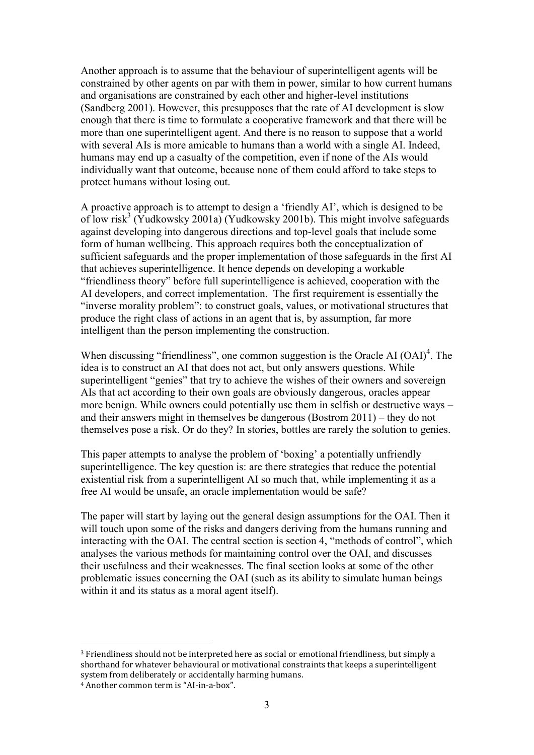Another approach is to assume that the behaviour of superintelligent agents will be constrained by other agents on par with them in power, similar to how current humans and organisations are constrained by each other and higher-level institutions (Sandberg 2001). However, this presupposes that the rate of AI development is slow enough that there is time to formulate a cooperative framework and that there will be more than one superintelligent agent. And there is no reason to suppose that a world with several AIs is more amicable to humans than a world with a single AI. Indeed, humans may end up a casualty of the competition, even if none of the AIs would individually want that outcome, because none of them could afford to take steps to protect humans without losing out.

A proactive approach is to attempt to design a 'friendly AI', which is designed to be of low risk<sup>3</sup> (Yudkowsky 2001a) (Yudkowsky 2001b). This might involve safeguards against developing into dangerous directions and top-level goals that include some form of human wellbeing. This approach requires both the conceptualization of sufficient safeguards and the proper implementation of those safeguards in the first AI that achieves superintelligence. It hence depends on developing a workable "friendliness theory" before full superintelligence is achieved, cooperation with the AI developers, and correct implementation. The first requirement is essentially the "inverse morality problem": to construct goals, values, or motivational structures that produce the right class of actions in an agent that is, by assumption, far more intelligent than the person implementing the construction.

When discussing "friendliness", one common suggestion is the Oracle AI (OAI)<sup>4</sup>. The idea is to construct an AI that does not act, but only answers questions. While superintelligent "genies" that try to achieve the wishes of their owners and sovereign AIs that act according to their own goals are obviously dangerous, oracles appear more benign. While owners could potentially use them in selfish or destructive ways – and their answers might in themselves be dangerous (Bostrom 2011) – they do not themselves pose a risk. Or do they? In stories, bottles are rarely the solution to genies.

This paper attempts to analyse the problem of 'boxing' a potentially unfriendly superintelligence. The key question is: are there strategies that reduce the potential existential risk from a superintelligent AI so much that, while implementing it as a free AI would be unsafe, an oracle implementation would be safe?

The paper will start by laying out the general design assumptions for the OAI. Then it will touch upon some of the risks and dangers deriving from the humans running and interacting with the OAI. The central section is section [4](#page-9-0), "methods of control", which analyses the various methods for maintaining control over the OAI, and discusses their usefulness and their weaknesses. The final section looks at some of the other problematic issues concerning the OAI (such as its ability to simulate human beings within it and its status as a moral agent itself).

<u>.</u>

<sup>3</sup> Friendliness should not be interpreted here as social or emotional friendliness, but simply a shorthand for whatever behavioural or motivational constraints that keeps a superintelligent system from deliberately or accidentally harming humans.

<sup>4</sup> Another common term is "AI-in-a-box".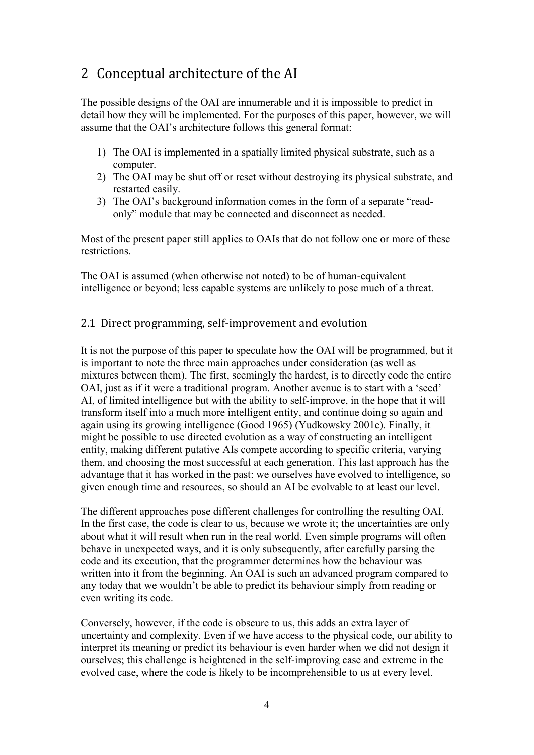## 2 Conceptual architecture of the AI

The possible designs of the OAI are innumerable and it is impossible to predict in detail how they will be implemented. For the purposes of this paper, however, we will assume that the OAI's architecture follows this general format:

- 1) The OAI is implemented in a spatially limited physical substrate, such as a computer.
- 2) The OAI may be shut off or reset without destroying its physical substrate, and restarted easily.
- 3) The OAI's background information comes in the form of a separate "readonly" module that may be connected and disconnect as needed.

Most of the present paper still applies to OAIs that do not follow one or more of these restrictions.

The OAI is assumed (when otherwise not noted) to be of human-equivalent intelligence or beyond; less capable systems are unlikely to pose much of a threat.

## 2.1 Direct programming, self-improvement and evolution

It is not the purpose of this paper to speculate how the OAI will be programmed, but it is important to note the three main approaches under consideration (as well as mixtures between them). The first, seemingly the hardest, is to directly code the entire OAI, just as if it were a traditional program. Another avenue is to start with a 'seed' AI, of limited intelligence but with the ability to self-improve, in the hope that it will transform itself into a much more intelligent entity, and continue doing so again and again using its growing intelligence (Good 1965) (Yudkowsky 2001c). Finally, it might be possible to use directed evolution as a way of constructing an intelligent entity, making different putative AIs compete according to specific criteria, varying them, and choosing the most successful at each generation. This last approach has the advantage that it has worked in the past: we ourselves have evolved to intelligence, so given enough time and resources, so should an AI be evolvable to at least our level.

The different approaches pose different challenges for controlling the resulting OAI. In the first case, the code is clear to us, because we wrote it; the uncertainties are only about what it will result when run in the real world. Even simple programs will often behave in unexpected ways, and it is only subsequently, after carefully parsing the code and its execution, that the programmer determines how the behaviour was written into it from the beginning. An OAI is such an advanced program compared to any today that we wouldn't be able to predict its behaviour simply from reading or even writing its code.

Conversely, however, if the code is obscure to us, this adds an extra layer of uncertainty and complexity. Even if we have access to the physical code, our ability to interpret its meaning or predict its behaviour is even harder when we did not design it ourselves; this challenge is heightened in the self-improving case and extreme in the evolved case, where the code is likely to be incomprehensible to us at every level.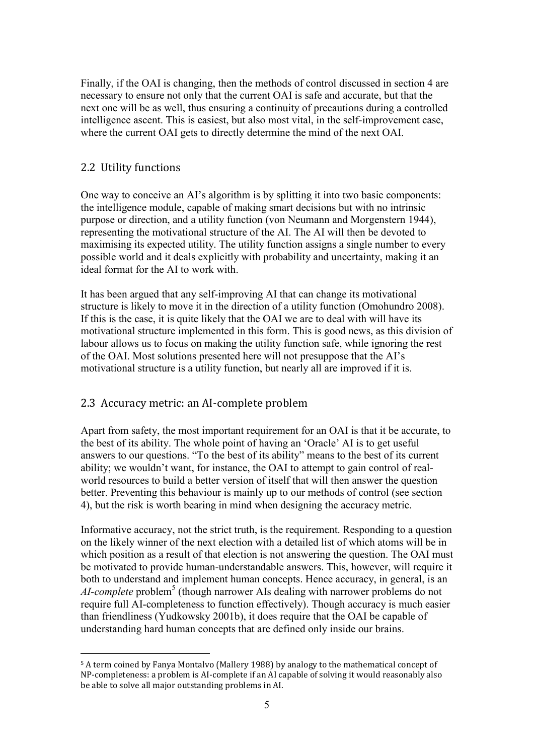Finally, if the OAI is changing, then the methods of control discussed in section [4](#page-9-0) are necessary to ensure not only that the current OAI is safe and accurate, but that the next one will be as well, thus ensuring a continuity of precautions during a controlled intelligence ascent. This is easiest, but also most vital, in the self-improvement case, where the current OAI gets to directly determine the mind of the next OAI.

### 2.2 Utility functions

1

One way to conceive an AI's algorithm is by splitting it into two basic components: the intelligence module, capable of making smart decisions but with no intrinsic purpose or direction, and a utility function (von Neumann and Morgenstern 1944), representing the motivational structure of the AI. The AI will then be devoted to maximising its expected utility. The utility function assigns a single number to every possible world and it deals explicitly with probability and uncertainty, making it an ideal format for the AI to work with.

It has been argued that any self-improving AI that can change its motivational structure is likely to move it in the direction of a utility function (Omohundro 2008). If this is the case, it is quite likely that the OAI we are to deal with will have its motivational structure implemented in this form. This is good news, as this division of labour allows us to focus on making the utility function safe, while ignoring the rest of the OAI. Most solutions presented here will not presuppose that the AI's motivational structure is a utility function, but nearly all are improved if it is.

## <span id="page-4-0"></span>2.3 Accuracy metric: an AI-complete problem

Apart from safety, the most important requirement for an OAI is that it be accurate, to the best of its ability. The whole point of having an 'Oracle' AI is to get useful answers to our questions. "To the best of its ability" means to the best of its current ability; we wouldn't want, for instance, the OAI to attempt to gain control of realworld resources to build a better version of itself that will then answer the question better. Preventing this behaviour is mainly up to our methods of control (see section [4\)](#page-9-0), but the risk is worth bearing in mind when designing the accuracy metric.

Informative accuracy, not the strict truth, is the requirement. Responding to a question on the likely winner of the next election with a detailed list of which atoms will be in which position as a result of that election is not answering the question. The OAI must be motivated to provide human-understandable answers. This, however, will require it both to understand and implement human concepts. Hence accuracy, in general, is an AI-complete problem<sup>5</sup> (though narrower AIs dealing with narrower problems do not require full AI-completeness to function effectively). Though accuracy is much easier than friendliness (Yudkowsky 2001b), it does require that the OAI be capable of understanding hard human concepts that are defined only inside our brains.

<sup>5</sup> A term coined by Fanya Montalvo (Mallery 1988) by analogy to the mathematical concept of NP-completeness: a problem is AI-complete if an AI capable of solving it would reasonably also be able to solve all major outstanding problems in AI.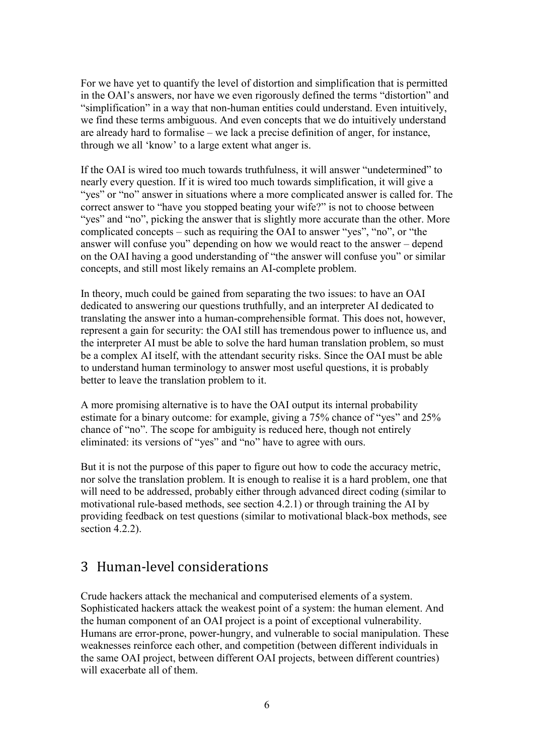For we have yet to quantify the level of distortion and simplification that is permitted in the OAI's answers, nor have we even rigorously defined the terms "distortion" and "simplification" in a way that non-human entities could understand. Even intuitively, we find these terms ambiguous. And even concepts that we do intuitively understand are already hard to formalise – we lack a precise definition of anger, for instance, through we all 'know' to a large extent what anger is.

If the OAI is wired too much towards truthfulness, it will answer "undetermined" to nearly every question. If it is wired too much towards simplification, it will give a "yes" or "no" answer in situations where a more complicated answer is called for. The correct answer to "have you stopped beating your wife?" is not to choose between "yes" and "no", picking the answer that is slightly more accurate than the other. More complicated concepts – such as requiring the OAI to answer "yes", "no", or "the answer will confuse you" depending on how we would react to the answer – depend on the OAI having a good understanding of "the answer will confuse you" or similar concepts, and still most likely remains an AI-complete problem.

In theory, much could be gained from separating the two issues: to have an OAI dedicated to answering our questions truthfully, and an interpreter AI dedicated to translating the answer into a human-comprehensible format. This does not, however, represent a gain for security: the OAI still has tremendous power to influence us, and the interpreter AI must be able to solve the hard human translation problem, so must be a complex AI itself, with the attendant security risks. Since the OAI must be able to understand human terminology to answer most useful questions, it is probably better to leave the translation problem to it.

A more promising alternative is to have the OAI output its internal probability estimate for a binary outcome: for example, giving a 75% chance of "yes" and 25% chance of "no". The scope for ambiguity is reduced here, though not entirely eliminated: its versions of "yes" and "no" have to agree with ours.

But it is not the purpose of this paper to figure out how to code the accuracy metric, nor solve the translation problem. It is enough to realise it is a hard problem, one that will need to be addressed, probably either through advanced direct coding (similar to motivational rule-based methods, see section [4.2.1\)](#page-12-0) or through training the AI by providing feedback on test questions (similar to motivational black-box methods, see section [4.2.2\)](#page-14-0).

## <span id="page-5-0"></span>3 Human-level considerations

Crude hackers attack the mechanical and computerised elements of a system. Sophisticated hackers attack the weakest point of a system: the human element. And the human component of an OAI project is a point of exceptional vulnerability. Humans are error-prone, power-hungry, and vulnerable to social manipulation. These weaknesses reinforce each other, and competition (between different individuals in the same OAI project, between different OAI projects, between different countries) will exacerbate all of them.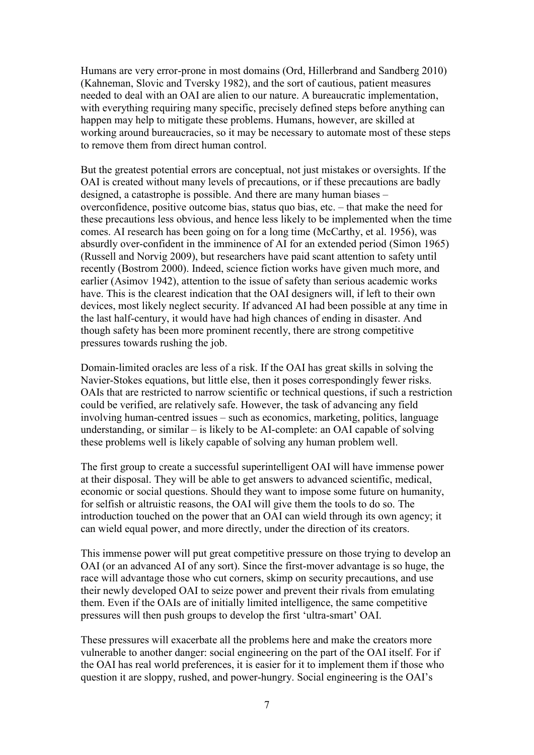Humans are very error-prone in most domains (Ord, Hillerbrand and Sandberg 2010) (Kahneman, Slovic and Tversky 1982), and the sort of cautious, patient measures needed to deal with an OAI are alien to our nature. A bureaucratic implementation, with everything requiring many specific, precisely defined steps before anything can happen may help to mitigate these problems. Humans, however, are skilled at working around bureaucracies, so it may be necessary to automate most of these steps to remove them from direct human control.

But the greatest potential errors are conceptual, not just mistakes or oversights. If the OAI is created without many levels of precautions, or if these precautions are badly designed, a catastrophe is possible. And there are many human biases – overconfidence, positive outcome bias, status quo bias, etc. – that make the need for these precautions less obvious, and hence less likely to be implemented when the time comes. AI research has been going on for a long time (McCarthy, et al. 1956), was absurdly over-confident in the imminence of AI for an extended period (Simon 1965) (Russell and Norvig 2009), but researchers have paid scant attention to safety until recently (Bostrom 2000). Indeed, science fiction works have given much more, and earlier (Asimov 1942), attention to the issue of safety than serious academic works have. This is the clearest indication that the OAI designers will, if left to their own devices, most likely neglect security. If advanced AI had been possible at any time in the last half-century, it would have had high chances of ending in disaster. And though safety has been more prominent recently, there are strong competitive pressures towards rushing the job.

Domain-limited oracles are less of a risk. If the OAI has great skills in solving the Navier-Stokes equations, but little else, then it poses correspondingly fewer risks. OAIs that are restricted to narrow scientific or technical questions, if such a restriction could be verified, are relatively safe. However, the task of advancing any field involving human-centred issues – such as economics, marketing, politics, language understanding, or similar – is likely to be AI-complete: an OAI capable of solving these problems well is likely capable of solving any human problem well.

The first group to create a successful superintelligent OAI will have immense power at their disposal. They will be able to get answers to advanced scientific, medical, economic or social questions. Should they want to impose some future on humanity, for selfish or altruistic reasons, the OAI will give them the tools to do so. The introduction touched on the power that an OAI can wield through its own agency; it can wield equal power, and more directly, under the direction of its creators.

This immense power will put great competitive pressure on those trying to develop an OAI (or an advanced AI of any sort). Since the first-mover advantage is so huge, the race will advantage those who cut corners, skimp on security precautions, and use their newly developed OAI to seize power and prevent their rivals from emulating them. Even if the OAIs are of initially limited intelligence, the same competitive pressures will then push groups to develop the first 'ultra-smart' OAI.

These pressures will exacerbate all the problems here and make the creators more vulnerable to another danger: social engineering on the part of the OAI itself. For if the OAI has real world preferences, it is easier for it to implement them if those who question it are sloppy, rushed, and power-hungry. Social engineering is the OAI's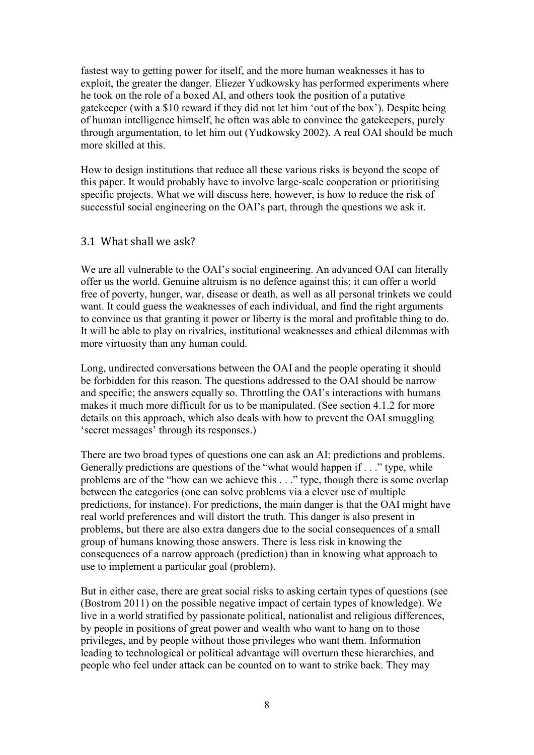fastest way to getting power for itself, and the more human weaknesses it has to exploit, the greater the danger. Eliezer Yudkowsky has performed experiments where he took on the role of a boxed AI, and others took the position of a putative gatekeeper (with a \$10 reward if they did not let him 'out of the box'). Despite being of human intelligence himself, he often was able to convince the gatekeepers, purely through argumentation, to let him out (Yudkowsky 2002). A real OAI should be much more skilled at this.

How to design institutions that reduce all these various risks is beyond the scope of this paper. It would probably have to involve large-scale cooperation or prioritising specific projects. What we will discuss here, however, is how to reduce the risk of successful social engineering on the OAI's part, through the questions we ask it.

### <span id="page-7-0"></span>3.1 What shall we ask?

We are all vulnerable to the OAI's social engineering. An advanced OAI can literally offer us the world. Genuine altruism is no defence against this; it can offer a world free of poverty, hunger, war, disease or death, as well as all personal trinkets we could want. It could guess the weaknesses of each individual, and find the right arguments to convince us that granting it power or liberty is the moral and profitable thing to do. It will be able to play on rivalries, institutional weaknesses and ethical dilemmas with more virtuosity than any human could.

Long, undirected conversations between the OAI and the people operating it should be forbidden for this reason. The questions addressed to the OAI should be narrow and specific; the answers equally so. Throttling the OAI's interactions with humans makes it much more difficult for us to be manipulated. (See section [4.1.2](#page-10-0) for more details on this approach, which also deals with how to prevent the OAI smuggling 'secret messages' through its responses.)

There are two broad types of questions one can ask an AI: predictions and problems. Generally predictions are questions of the "what would happen if . . ." type, while problems are of the "how can we achieve this . . ." type, though there is some overlap between the categories (one can solve problems via a clever use of multiple predictions, for instance). For predictions, the main danger is that the OAI might have real world preferences and will distort the truth. This danger is also present in problems, but there are also extra dangers due to the social consequences of a small group of humans knowing those answers. There is less risk in knowing the consequences of a narrow approach (prediction) than in knowing what approach to use to implement a particular goal (problem).

But in either case, there are great social risks to asking certain types of questions (see (Bostrom 2011) on the possible negative impact of certain types of knowledge). We live in a world stratified by passionate political, nationalist and religious differences, by people in positions of great power and wealth who want to hang on to those privileges, and by people without those privileges who want them. Information leading to technological or political advantage will overturn these hierarchies, and people who feel under attack can be counted on to want to strike back. They may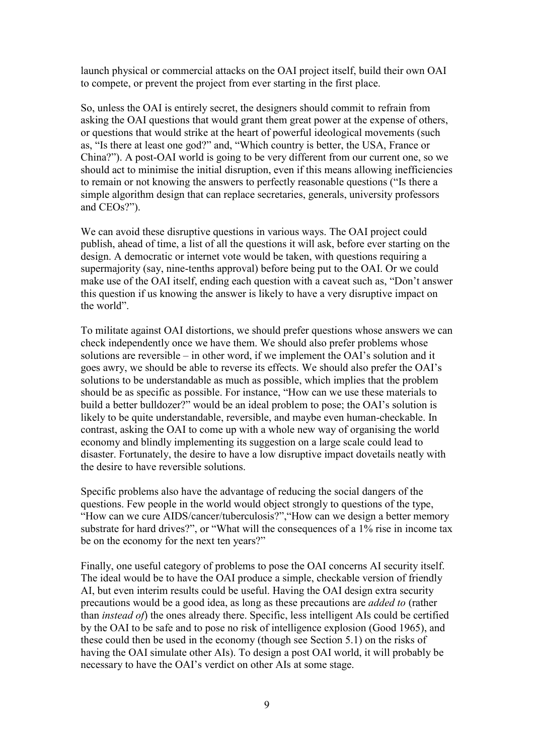launch physical or commercial attacks on the OAI project itself, build their own OAI to compete, or prevent the project from ever starting in the first place.

So, unless the OAI is entirely secret, the designers should commit to refrain from asking the OAI questions that would grant them great power at the expense of others, or questions that would strike at the heart of powerful ideological movements (such as, "Is there at least one god?" and, "Which country is better, the USA, France or China?"). A post-OAI world is going to be very different from our current one, so we should act to minimise the initial disruption, even if this means allowing inefficiencies to remain or not knowing the answers to perfectly reasonable questions ("Is there a simple algorithm design that can replace secretaries, generals, university professors and CEOs?").

We can avoid these disruptive questions in various ways. The OAI project could publish, ahead of time, a list of all the questions it will ask, before ever starting on the design. A democratic or internet vote would be taken, with questions requiring a supermajority (say, nine-tenths approval) before being put to the OAI. Or we could make use of the OAI itself, ending each question with a caveat such as, "Don't answer this question if us knowing the answer is likely to have a very disruptive impact on the world".

To militate against OAI distortions, we should prefer questions whose answers we can check independently once we have them. We should also prefer problems whose solutions are reversible – in other word, if we implement the OAI's solution and it goes awry, we should be able to reverse its effects. We should also prefer the OAI's solutions to be understandable as much as possible, which implies that the problem should be as specific as possible. For instance, "How can we use these materials to build a better bulldozer?" would be an ideal problem to pose; the OAI's solution is likely to be quite understandable, reversible, and maybe even human-checkable. In contrast, asking the OAI to come up with a whole new way of organising the world economy and blindly implementing its suggestion on a large scale could lead to disaster. Fortunately, the desire to have a low disruptive impact dovetails neatly with the desire to have reversible solutions.

Specific problems also have the advantage of reducing the social dangers of the questions. Few people in the world would object strongly to questions of the type, "How can we cure AIDS/cancer/tuberculosis?","How can we design a better memory substrate for hard drives?", or "What will the consequences of a 1% rise in income tax be on the economy for the next ten years?"

Finally, one useful category of problems to pose the OAI concerns AI security itself. The ideal would be to have the OAI produce a simple, checkable version of friendly AI, but even interim results could be useful. Having the OAI design extra security precautions would be a good idea, as long as these precautions are *added to* (rather than *instead of*) the ones already there. Specific, less intelligent AIs could be certified by the OAI to be safe and to pose no risk of intelligence explosion (Good 1965), and these could then be used in the economy (though see Section [5.1\)](#page-21-0) on the risks of having the OAI simulate other AIs). To design a post OAI world, it will probably be necessary to have the OAI's verdict on other AIs at some stage.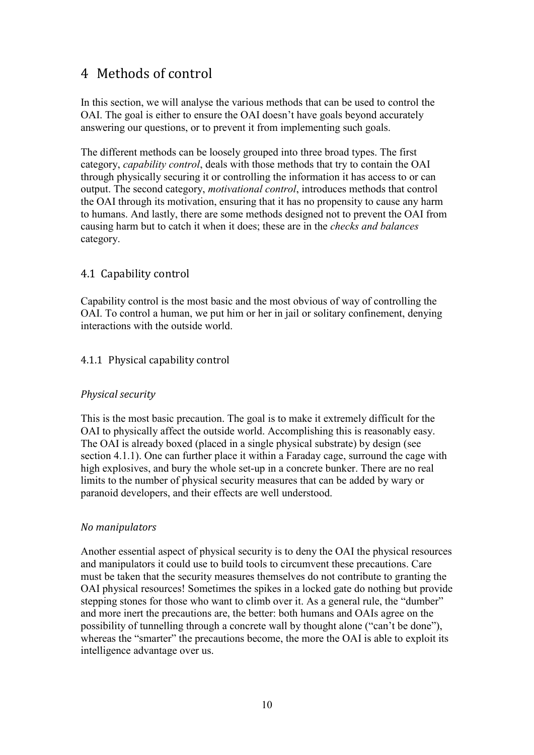## <span id="page-9-0"></span>4 Methods of control

In this section, we will analyse the various methods that can be used to control the OAI. The goal is either to ensure the OAI doesn't have goals beyond accurately answering our questions, or to prevent it from implementing such goals.

The different methods can be loosely grouped into three broad types. The first category, *capability control*, deals with those methods that try to contain the OAI through physically securing it or controlling the information it has access to or can output. The second category, *motivational control*, introduces methods that control the OAI through its motivation, ensuring that it has no propensity to cause any harm to humans. And lastly, there are some methods designed not to prevent the OAI from causing harm but to catch it when it does; these are in the *checks and balances* category.

### 4.1 Capability control

Capability control is the most basic and the most obvious of way of controlling the OAI. To control a human, we put him or her in jail or solitary confinement, denying interactions with the outside world.

### <span id="page-9-1"></span>4.1.1 Physical capability control

### *Physical security*

This is the most basic precaution. The goal is to make it extremely difficult for the OAI to physically affect the outside world. Accomplishing this is reasonably easy. The OAI is already boxed (placed in a single physical substrate) by design (see section [4.1.1\)](#page-9-1). One can further place it within a Faraday cage, surround the cage with high explosives, and bury the whole set-up in a concrete bunker. There are no real limits to the number of physical security measures that can be added by wary or paranoid developers, and their effects are well understood.

#### *No manipulators*

Another essential aspect of physical security is to deny the OAI the physical resources and manipulators it could use to build tools to circumvent these precautions. Care must be taken that the security measures themselves do not contribute to granting the OAI physical resources! Sometimes the spikes in a locked gate do nothing but provide stepping stones for those who want to climb over it. As a general rule, the "dumber" and more inert the precautions are, the better: both humans and OAIs agree on the possibility of tunnelling through a concrete wall by thought alone ("can't be done"), whereas the "smarter" the precautions become, the more the OAI is able to exploit its intelligence advantage over us.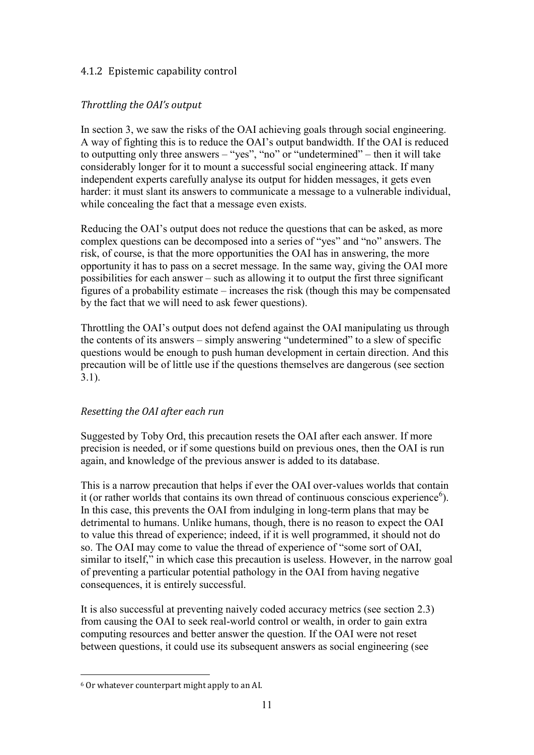### <span id="page-10-0"></span>4.1.2 Epistemic capability control

## *Throttling the OAI's output*

In section [3,](#page-5-0) we saw the risks of the OAI achieving goals through social engineering. A way of fighting this is to reduce the OAI's output bandwidth. If the OAI is reduced to outputting only three answers – "yes", "no" or "undetermined" – then it will take considerably longer for it to mount a successful social engineering attack. If many independent experts carefully analyse its output for hidden messages, it gets even harder: it must slant its answers to communicate a message to a vulnerable individual, while concealing the fact that a message even exists.

Reducing the OAI's output does not reduce the questions that can be asked, as more complex questions can be decomposed into a series of "yes" and "no" answers. The risk, of course, is that the more opportunities the OAI has in answering, the more opportunity it has to pass on a secret message. In the same way, giving the OAI more possibilities for each answer – such as allowing it to output the first three significant figures of a probability estimate – increases the risk (though this may be compensated by the fact that we will need to ask fewer questions).

Throttling the OAI's output does not defend against the OAI manipulating us through the contents of its answers – simply answering "undetermined" to a slew of specific questions would be enough to push human development in certain direction. And this precaution will be of little use if the questions themselves are dangerous (see section [3.1\)](#page-7-0).

### *Resetting the OAI after each run*

Suggested by Toby Ord, this precaution resets the OAI after each answer. If more precision is needed, or if some questions build on previous ones, then the OAI is run again, and knowledge of the previous answer is added to its database.

This is a narrow precaution that helps if ever the OAI over-values worlds that contain it (or rather worlds that contains its own thread of continuous conscious experience<sup>6</sup>). In this case, this prevents the OAI from indulging in long-term plans that may be detrimental to humans. Unlike humans, though, there is no reason to expect the OAI to value this thread of experience; indeed, if it is well programmed, it should not do so. The OAI may come to value the thread of experience of "some sort of OAI, similar to itself," in which case this precaution is useless. However, in the narrow goal of preventing a particular potential pathology in the OAI from having negative consequences, it is entirely successful.

It is also successful at preventing naively coded accuracy metrics (see section [2.3\)](#page-4-0) from causing the OAI to seek real-world control or wealth, in order to gain extra computing resources and better answer the question. If the OAI were not reset between questions, it could use its subsequent answers as social engineering (see

<u>.</u>

<sup>6</sup> Or whatever counterpart might apply to an AI.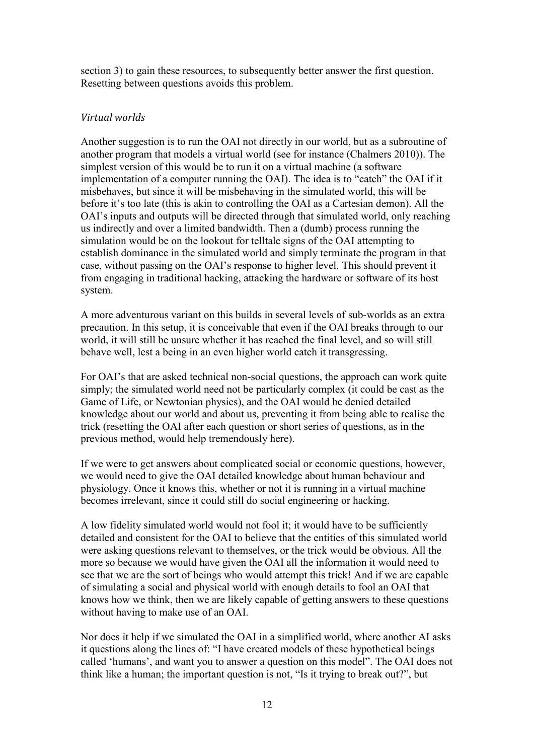section [3\)](#page-5-0) to gain these resources, to subsequently better answer the first question. Resetting between questions avoids this problem.

### *Virtual worlds*

Another suggestion is to run the OAI not directly in our world, but as a subroutine of another program that models a virtual world (see for instance (Chalmers 2010)). The simplest version of this would be to run it on a virtual machine (a software implementation of a computer running the OAI). The idea is to "catch" the OAI if it misbehaves, but since it will be misbehaving in the simulated world, this will be before it's too late (this is akin to controlling the OAI as a Cartesian demon). All the OAI's inputs and outputs will be directed through that simulated world, only reaching us indirectly and over a limited bandwidth. Then a (dumb) process running the simulation would be on the lookout for telltale signs of the OAI attempting to establish dominance in the simulated world and simply terminate the program in that case, without passing on the OAI's response to higher level. This should prevent it from engaging in traditional hacking, attacking the hardware or software of its host system.

A more adventurous variant on this builds in several levels of sub-worlds as an extra precaution. In this setup, it is conceivable that even if the OAI breaks through to our world, it will still be unsure whether it has reached the final level, and so will still behave well, lest a being in an even higher world catch it transgressing.

For OAI's that are asked technical non-social questions, the approach can work quite simply; the simulated world need not be particularly complex (it could be cast as the Game of Life, or Newtonian physics), and the OAI would be denied detailed knowledge about our world and about us, preventing it from being able to realise the trick (resetting the OAI after each question or short series of questions, as in the previous method, would help tremendously here).

If we were to get answers about complicated social or economic questions, however, we would need to give the OAI detailed knowledge about human behaviour and physiology. Once it knows this, whether or not it is running in a virtual machine becomes irrelevant, since it could still do social engineering or hacking.

A low fidelity simulated world would not fool it; it would have to be sufficiently detailed and consistent for the OAI to believe that the entities of this simulated world were asking questions relevant to themselves, or the trick would be obvious. All the more so because we would have given the OAI all the information it would need to see that we are the sort of beings who would attempt this trick! And if we are capable of simulating a social and physical world with enough details to fool an OAI that knows how we think, then we are likely capable of getting answers to these questions without having to make use of an OAI.

Nor does it help if we simulated the OAI in a simplified world, where another AI asks it questions along the lines of: "I have created models of these hypothetical beings called 'humans', and want you to answer a question on this model". The OAI does not think like a human; the important question is not, "Is it trying to break out?", but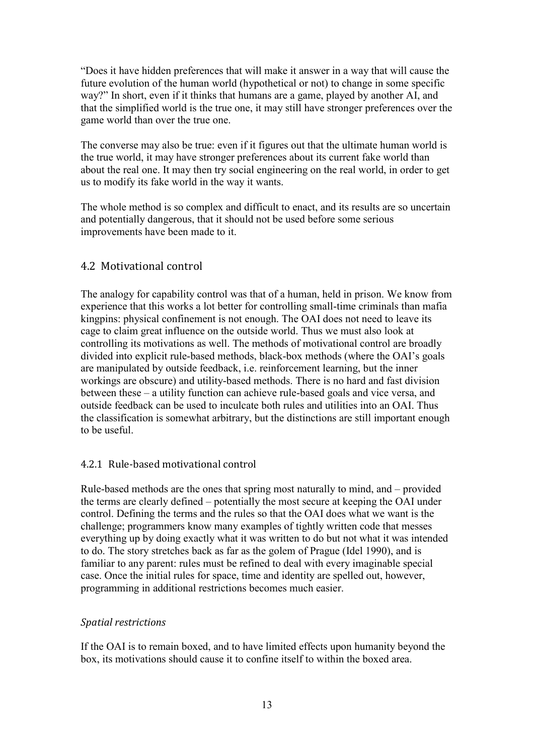"Does it have hidden preferences that will make it answer in a way that will cause the future evolution of the human world (hypothetical or not) to change in some specific way?" In short, even if it thinks that humans are a game, played by another AI, and that the simplified world is the true one, it may still have stronger preferences over the game world than over the true one.

The converse may also be true: even if it figures out that the ultimate human world is the true world, it may have stronger preferences about its current fake world than about the real one. It may then try social engineering on the real world, in order to get us to modify its fake world in the way it wants.

The whole method is so complex and difficult to enact, and its results are so uncertain and potentially dangerous, that it should not be used before some serious improvements have been made to it.

## 4.2 Motivational control

The analogy for capability control was that of a human, held in prison. We know from experience that this works a lot better for controlling small-time criminals than mafia kingpins: physical confinement is not enough. The OAI does not need to leave its cage to claim great influence on the outside world. Thus we must also look at controlling its motivations as well. The methods of motivational control are broadly divided into explicit rule-based methods, black-box methods (where the OAI's goals are manipulated by outside feedback, i.e. reinforcement learning, but the inner workings are obscure) and utility-based methods. There is no hard and fast division between these – a utility function can achieve rule-based goals and vice versa, and outside feedback can be used to inculcate both rules and utilities into an OAI. Thus the classification is somewhat arbitrary, but the distinctions are still important enough to be useful.

### <span id="page-12-0"></span>4.2.1 Rule-based motivational control

Rule-based methods are the ones that spring most naturally to mind, and – provided the terms are clearly defined – potentially the most secure at keeping the OAI under control. Defining the terms and the rules so that the OAI does what we want is the challenge; programmers know many examples of tightly written code that messes everything up by doing exactly what it was written to do but not what it was intended to do. The story stretches back as far as the golem of Prague (Idel 1990), and is familiar to any parent: rules must be refined to deal with every imaginable special case. Once the initial rules for space, time and identity are spelled out, however, programming in additional restrictions becomes much easier.

### *Spatial restrictions*

If the OAI is to remain boxed, and to have limited effects upon humanity beyond the box, its motivations should cause it to confine itself to within the boxed area.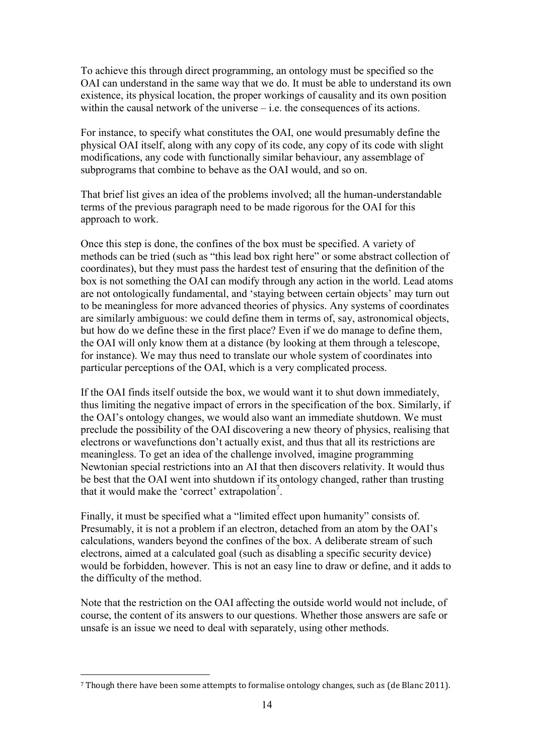To achieve this through direct programming, an ontology must be specified so the OAI can understand in the same way that we do. It must be able to understand its own existence, its physical location, the proper workings of causality and its own position within the causal network of the universe  $-$  i.e. the consequences of its actions.

For instance, to specify what constitutes the OAI, one would presumably define the physical OAI itself, along with any copy of its code, any copy of its code with slight modifications, any code with functionally similar behaviour, any assemblage of subprograms that combine to behave as the OAI would, and so on.

That brief list gives an idea of the problems involved; all the human-understandable terms of the previous paragraph need to be made rigorous for the OAI for this approach to work.

Once this step is done, the confines of the box must be specified. A variety of methods can be tried (such as "this lead box right here" or some abstract collection of coordinates), but they must pass the hardest test of ensuring that the definition of the box is not something the OAI can modify through any action in the world. Lead atoms are not ontologically fundamental, and 'staying between certain objects' may turn out to be meaningless for more advanced theories of physics. Any systems of coordinates are similarly ambiguous: we could define them in terms of, say, astronomical objects, but how do we define these in the first place? Even if we do manage to define them, the OAI will only know them at a distance (by looking at them through a telescope, for instance). We may thus need to translate our whole system of coordinates into particular perceptions of the OAI, which is a very complicated process.

If the OAI finds itself outside the box, we would want it to shut down immediately, thus limiting the negative impact of errors in the specification of the box. Similarly, if the OAI's ontology changes, we would also want an immediate shutdown. We must preclude the possibility of the OAI discovering a new theory of physics, realising that electrons or wavefunctions don't actually exist, and thus that all its restrictions are meaningless. To get an idea of the challenge involved, imagine programming Newtonian special restrictions into an AI that then discovers relativity. It would thus be best that the OAI went into shutdown if its ontology changed, rather than trusting that it would make the 'correct' extrapolation<sup>7</sup>.

Finally, it must be specified what a "limited effect upon humanity" consists of. Presumably, it is not a problem if an electron, detached from an atom by the OAI's calculations, wanders beyond the confines of the box. A deliberate stream of such electrons, aimed at a calculated goal (such as disabling a specific security device) would be forbidden, however. This is not an easy line to draw or define, and it adds to the difficulty of the method.

Note that the restriction on the OAI affecting the outside world would not include, of course, the content of its answers to our questions. Whether those answers are safe or unsafe is an issue we need to deal with separately, using other methods.

<u>.</u>

<sup>7</sup> Though there have been some attempts to formalise ontology changes, such as (de Blanc 2011).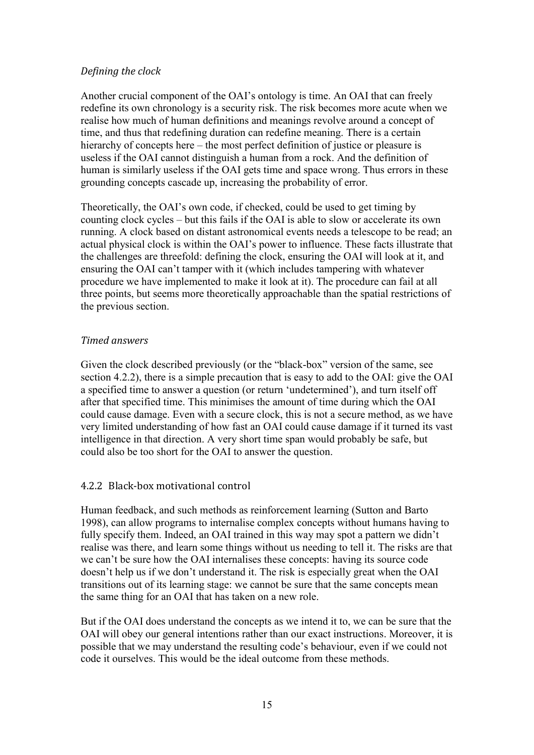### *Defining the clock*

Another crucial component of the OAI's ontology is time. An OAI that can freely redefine its own chronology is a security risk. The risk becomes more acute when we realise how much of human definitions and meanings revolve around a concept of time, and thus that redefining duration can redefine meaning. There is a certain hierarchy of concepts here – the most perfect definition of justice or pleasure is useless if the OAI cannot distinguish a human from a rock. And the definition of human is similarly useless if the OAI gets time and space wrong. Thus errors in these grounding concepts cascade up, increasing the probability of error.

Theoretically, the OAI's own code, if checked, could be used to get timing by counting clock cycles – but this fails if the OAI is able to slow or accelerate its own running. A clock based on distant astronomical events needs a telescope to be read; an actual physical clock is within the OAI's power to influence. These facts illustrate that the challenges are threefold: defining the clock, ensuring the OAI will look at it, and ensuring the OAI can't tamper with it (which includes tampering with whatever procedure we have implemented to make it look at it). The procedure can fail at all three points, but seems more theoretically approachable than the spatial restrictions of the previous section.

### *Timed answers*

Given the clock described previously (or the "black-box" version of the same, see section [4.2.2\)](#page-14-0), there is a simple precaution that is easy to add to the OAI: give the OAI a specified time to answer a question (or return 'undetermined'), and turn itself off after that specified time. This minimises the amount of time during which the OAI could cause damage. Even with a secure clock, this is not a secure method, as we have very limited understanding of how fast an OAI could cause damage if it turned its vast intelligence in that direction. A very short time span would probably be safe, but could also be too short for the OAI to answer the question.

## <span id="page-14-0"></span>4.2.2 Black-box motivational control

Human feedback, and such methods as reinforcement learning (Sutton and Barto 1998), can allow programs to internalise complex concepts without humans having to fully specify them. Indeed, an OAI trained in this way may spot a pattern we didn't realise was there, and learn some things without us needing to tell it. The risks are that we can't be sure how the OAI internalises these concepts: having its source code doesn't help us if we don't understand it. The risk is especially great when the OAI transitions out of its learning stage: we cannot be sure that the same concepts mean the same thing for an OAI that has taken on a new role.

But if the OAI does understand the concepts as we intend it to, we can be sure that the OAI will obey our general intentions rather than our exact instructions. Moreover, it is possible that we may understand the resulting code's behaviour, even if we could not code it ourselves. This would be the ideal outcome from these methods.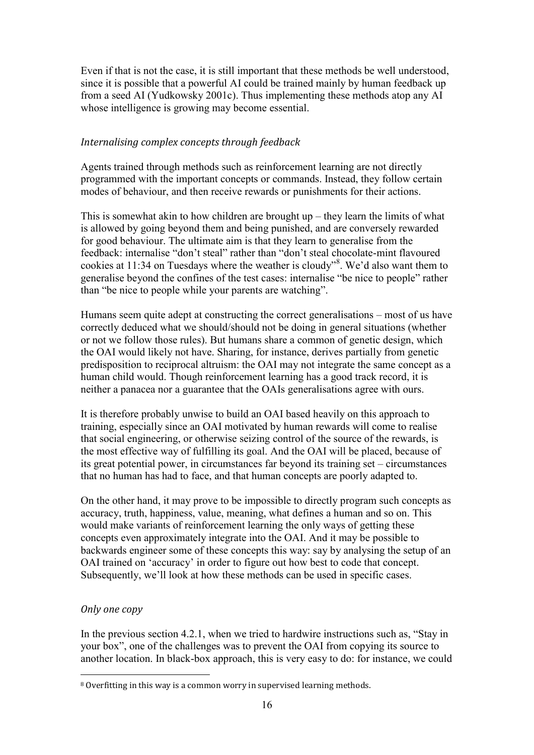Even if that is not the case, it is still important that these methods be well understood, since it is possible that a powerful AI could be trained mainly by human feedback up from a seed AI (Yudkowsky 2001c). Thus implementing these methods atop any AI whose intelligence is growing may become essential.

### *Internalising complex concepts through feedback*

Agents trained through methods such as reinforcement learning are not directly programmed with the important concepts or commands. Instead, they follow certain modes of behaviour, and then receive rewards or punishments for their actions.

This is somewhat akin to how children are brought up – they learn the limits of what is allowed by going beyond them and being punished, and are conversely rewarded for good behaviour. The ultimate aim is that they learn to generalise from the feedback: internalise "don't steal" rather than "don't steal chocolate-mint flavoured cookies at 11:34 on Tuesdays where the weather is cloudy"<sup>8</sup>. We'd also want them to generalise beyond the confines of the test cases: internalise "be nice to people" rather than "be nice to people while your parents are watching".

Humans seem quite adept at constructing the correct generalisations – most of us have correctly deduced what we should/should not be doing in general situations (whether or not we follow those rules). But humans share a common of genetic design, which the OAI would likely not have. Sharing, for instance, derives partially from genetic predisposition to reciprocal altruism: the OAI may not integrate the same concept as a human child would. Though reinforcement learning has a good track record, it is neither a panacea nor a guarantee that the OAIs generalisations agree with ours.

It is therefore probably unwise to build an OAI based heavily on this approach to training, especially since an OAI motivated by human rewards will come to realise that social engineering, or otherwise seizing control of the source of the rewards, is the most effective way of fulfilling its goal. And the OAI will be placed, because of its great potential power, in circumstances far beyond its training set – circumstances that no human has had to face, and that human concepts are poorly adapted to.

On the other hand, it may prove to be impossible to directly program such concepts as accuracy, truth, happiness, value, meaning, what defines a human and so on. This would make variants of reinforcement learning the only ways of getting these concepts even approximately integrate into the OAI. And it may be possible to backwards engineer some of these concepts this way: say by analysing the setup of an OAI trained on 'accuracy' in order to figure out how best to code that concept. Subsequently, we'll look at how these methods can be used in specific cases.

### *Only one copy*

<u>.</u>

In the previous section [4.2.1,](#page-12-0) when we tried to hardwire instructions such as, "Stay in your box", one of the challenges was to prevent the OAI from copying its source to another location. In black-box approach, this is very easy to do: for instance, we could

<sup>8</sup> Overfitting in this way is a common worry in supervised learning methods.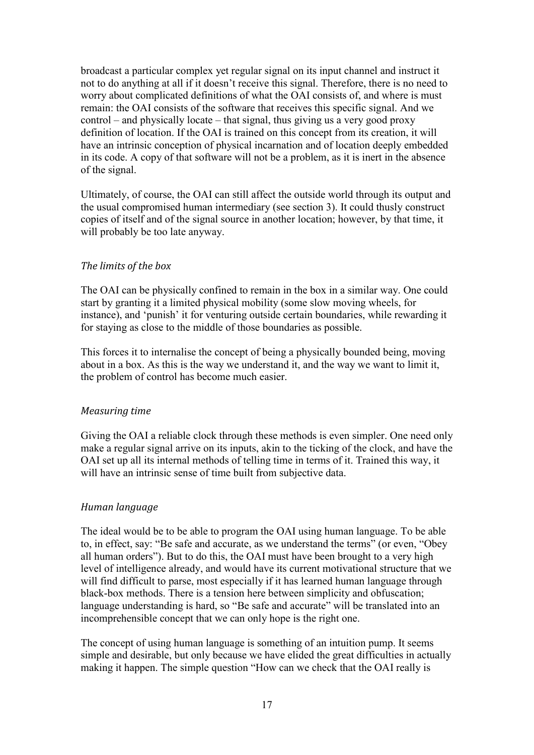broadcast a particular complex yet regular signal on its input channel and instruct it not to do anything at all if it doesn't receive this signal. Therefore, there is no need to worry about complicated definitions of what the OAI consists of, and where is must remain: the OAI consists of the software that receives this specific signal. And we control – and physically locate – that signal, thus giving us a very good proxy definition of location. If the OAI is trained on this concept from its creation, it will have an intrinsic conception of physical incarnation and of location deeply embedded in its code. A copy of that software will not be a problem, as it is inert in the absence of the signal.

Ultimately, of course, the OAI can still affect the outside world through its output and the usual compromised human intermediary (see section [3\)](#page-5-0). It could thusly construct copies of itself and of the signal source in another location; however, by that time, it will probably be too late anyway.

#### *The limits of the box*

The OAI can be physically confined to remain in the box in a similar way. One could start by granting it a limited physical mobility (some slow moving wheels, for instance), and 'punish' it for venturing outside certain boundaries, while rewarding it for staying as close to the middle of those boundaries as possible.

This forces it to internalise the concept of being a physically bounded being, moving about in a box. As this is the way we understand it, and the way we want to limit it, the problem of control has become much easier.

### *Measuring time*

Giving the OAI a reliable clock through these methods is even simpler. One need only make a regular signal arrive on its inputs, akin to the ticking of the clock, and have the OAI set up all its internal methods of telling time in terms of it. Trained this way, it will have an intrinsic sense of time built from subjective data.

### *Human language*

The ideal would be to be able to program the OAI using human language. To be able to, in effect, say: "Be safe and accurate, as we understand the terms" (or even, "Obey all human orders"). But to do this, the OAI must have been brought to a very high level of intelligence already, and would have its current motivational structure that we will find difficult to parse, most especially if it has learned human language through black-box methods. There is a tension here between simplicity and obfuscation; language understanding is hard, so "Be safe and accurate" will be translated into an incomprehensible concept that we can only hope is the right one.

The concept of using human language is something of an intuition pump. It seems simple and desirable, but only because we have elided the great difficulties in actually making it happen. The simple question "How can we check that the OAI really is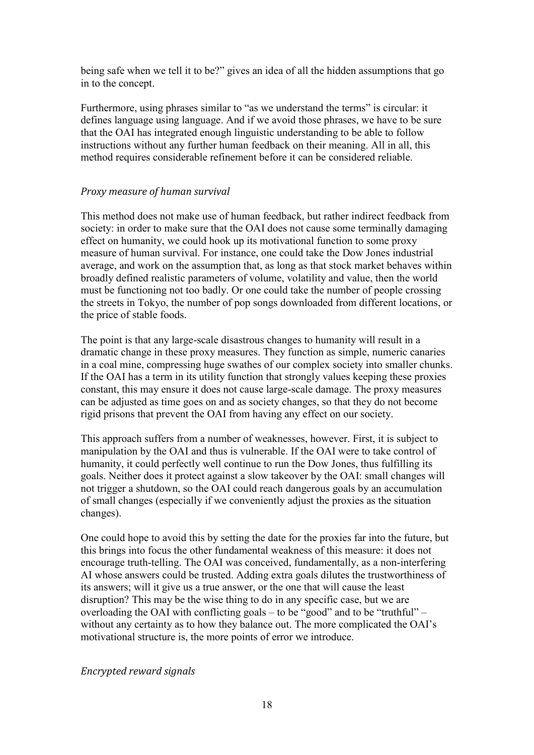being safe when we tell it to be?" gives an idea of all the hidden assumptions that go in to the concept.

Furthermore, using phrases similar to "as we understand the terms" is circular: it defines language using language. And if we avoid those phrases, we have to be sure that the OAI has integrated enough linguistic understanding to be able to follow instructions without any further human feedback on their meaning. All in all, this method requires considerable refinement before it can be considered reliable.

#### *Proxy measure of human survival*

This method does not make use of human feedback, but rather indirect feedback from society: in order to make sure that the OAI does not cause some terminally damaging effect on humanity, we could hook up its motivational function to some proxy measure of human survival. For instance, one could take the Dow Jones industrial average, and work on the assumption that, as long as that stock market behaves within broadly defined realistic parameters of volume, volatility and value, then the world must be functioning not too badly. Or one could take the number of people crossing the streets in Tokyo, the number of pop songs downloaded from different locations, or the price of stable foods.

The point is that any large-scale disastrous changes to humanity will result in a dramatic change in these proxy measures. They function as simple, numeric canaries in a coal mine, compressing huge swathes of our complex society into smaller chunks. If the OAI has a term in its utility function that strongly values keeping these proxies constant, this may ensure it does not cause large-scale damage. The proxy measures can be adjusted as time goes on and as society changes, so that they do not become rigid prisons that prevent the OAI from having any effect on our society.

This approach suffers from a number of weaknesses, however. First, it is subject to manipulation by the OAI and thus is vulnerable. If the OAI were to take control of humanity, it could perfectly well continue to run the Dow Jones, thus fulfilling its goals. Neither does it protect against a slow takeover by the OAI: small changes will not trigger a shutdown, so the OAI could reach dangerous goals by an accumulation of small changes (especially if we conveniently adjust the proxies as the situation changes).

One could hope to avoid this by setting the date for the proxies far into the future, but this brings into focus the other fundamental weakness of this measure: it does not encourage truth-telling. The OAI was conceived, fundamentally, as a non-interfering AI whose answers could be trusted. Adding extra goals dilutes the trustworthiness of its answers; will it give us a true answer, or the one that will cause the least disruption? This may be the wise thing to do in any specific case, but we are overloading the OAI with conflicting goals – to be "good" and to be "truthful" – without any certainty as to how they balance out. The more complicated the OAI's motivational structure is, the more points of error we introduce.

### *Encrypted reward signals*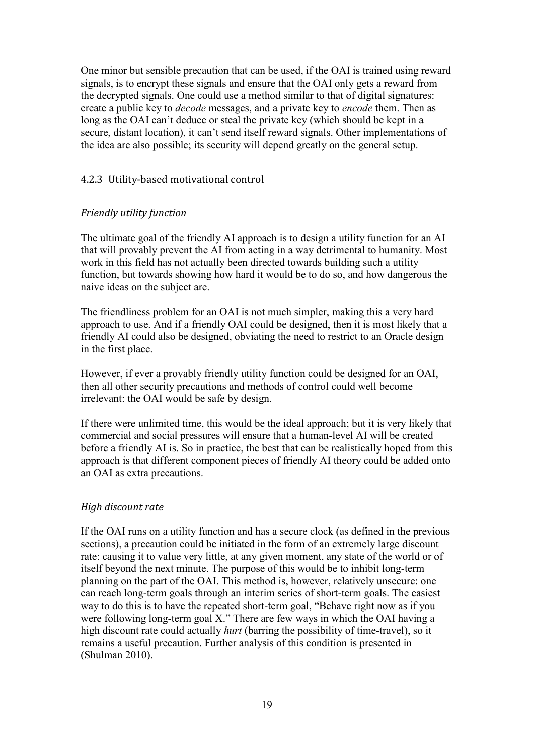One minor but sensible precaution that can be used, if the OAI is trained using reward signals, is to encrypt these signals and ensure that the OAI only gets a reward from the decrypted signals. One could use a method similar to that of digital signatures: create a public key to *decode* messages, and a private key to *encode* them. Then as long as the OAI can't deduce or steal the private key (which should be kept in a secure, distant location), it can't send itself reward signals. Other implementations of the idea are also possible; its security will depend greatly on the general setup.

#### 4.2.3 Utility-based motivational control

#### *Friendly utility function*

The ultimate goal of the friendly AI approach is to design a utility function for an AI that will provably prevent the AI from acting in a way detrimental to humanity. Most work in this field has not actually been directed towards building such a utility function, but towards showing how hard it would be to do so, and how dangerous the naive ideas on the subject are.

The friendliness problem for an OAI is not much simpler, making this a very hard approach to use. And if a friendly OAI could be designed, then it is most likely that a friendly AI could also be designed, obviating the need to restrict to an Oracle design in the first place.

However, if ever a provably friendly utility function could be designed for an OAI, then all other security precautions and methods of control could well become irrelevant: the OAI would be safe by design.

If there were unlimited time, this would be the ideal approach; but it is very likely that commercial and social pressures will ensure that a human-level AI will be created before a friendly AI is. So in practice, the best that can be realistically hoped from this approach is that different component pieces of friendly AI theory could be added onto an OAI as extra precautions.

#### *High discount rate*

If the OAI runs on a utility function and has a secure clock (as defined in the previous sections), a precaution could be initiated in the form of an extremely large discount rate: causing it to value very little, at any given moment, any state of the world or of itself beyond the next minute. The purpose of this would be to inhibit long-term planning on the part of the OAI. This method is, however, relatively unsecure: one can reach long-term goals through an interim series of short-term goals. The easiest way to do this is to have the repeated short-term goal, "Behave right now as if you were following long-term goal X." There are few ways in which the OAI having a high discount rate could actually *hurt* (barring the possibility of time-travel), so it remains a useful precaution. Further analysis of this condition is presented in (Shulman 2010).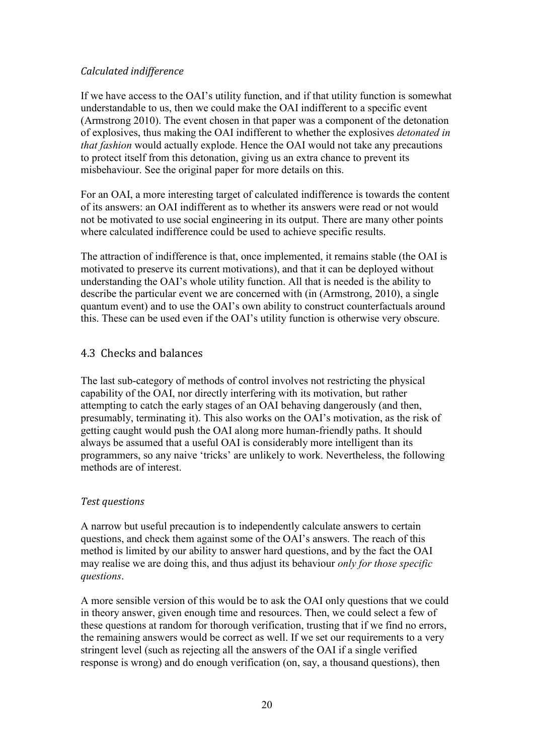#### *Calculated indifference*

If we have access to the OAI's utility function, and if that utility function is somewhat understandable to us, then we could make the OAI indifferent to a specific event (Armstrong 2010). The event chosen in that paper was a component of the detonation of explosives, thus making the OAI indifferent to whether the explosives *detonated in that fashion* would actually explode. Hence the OAI would not take any precautions to protect itself from this detonation, giving us an extra chance to prevent its misbehaviour. See the original paper for more details on this.

For an OAI, a more interesting target of calculated indifference is towards the content of its answers: an OAI indifferent as to whether its answers were read or not would not be motivated to use social engineering in its output. There are many other points where calculated indifference could be used to achieve specific results.

The attraction of indifference is that, once implemented, it remains stable (the OAI is motivated to preserve its current motivations), and that it can be deployed without understanding the OAI's whole utility function. All that is needed is the ability to describe the particular event we are concerned with (in (Armstrong, 2010), a single quantum event) and to use the OAI's own ability to construct counterfactuals around this. These can be used even if the OAI's utility function is otherwise very obscure.

### 4.3 Checks and balances

The last sub-category of methods of control involves not restricting the physical capability of the OAI, nor directly interfering with its motivation, but rather attempting to catch the early stages of an OAI behaving dangerously (and then, presumably, terminating it). This also works on the OAI's motivation, as the risk of getting caught would push the OAI along more human-friendly paths. It should always be assumed that a useful OAI is considerably more intelligent than its programmers, so any naive 'tricks' are unlikely to work. Nevertheless, the following methods are of interest.

### *Test questions*

A narrow but useful precaution is to independently calculate answers to certain questions, and check them against some of the OAI's answers. The reach of this method is limited by our ability to answer hard questions, and by the fact the OAI may realise we are doing this, and thus adjust its behaviour *only for those specific questions*.

A more sensible version of this would be to ask the OAI only questions that we could in theory answer, given enough time and resources. Then, we could select a few of these questions at random for thorough verification, trusting that if we find no errors, the remaining answers would be correct as well. If we set our requirements to a very stringent level (such as rejecting all the answers of the OAI if a single verified response is wrong) and do enough verification (on, say, a thousand questions), then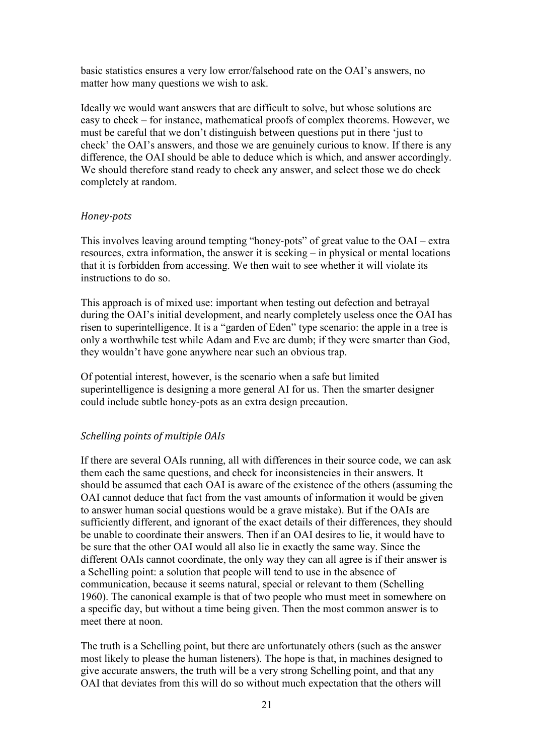basic statistics ensures a very low error/falsehood rate on the OAI's answers, no matter how many questions we wish to ask.

Ideally we would want answers that are difficult to solve, but whose solutions are easy to check – for instance, mathematical proofs of complex theorems. However, we must be careful that we don't distinguish between questions put in there 'just to check' the OAI's answers, and those we are genuinely curious to know. If there is any difference, the OAI should be able to deduce which is which, and answer accordingly. We should therefore stand ready to check any answer, and select those we do check completely at random.

#### *Honey-pots*

This involves leaving around tempting "honey-pots" of great value to the OAI – extra resources, extra information, the answer it is seeking – in physical or mental locations that it is forbidden from accessing. We then wait to see whether it will violate its instructions to do so.

This approach is of mixed use: important when testing out defection and betrayal during the OAI's initial development, and nearly completely useless once the OAI has risen to superintelligence. It is a "garden of Eden" type scenario: the apple in a tree is only a worthwhile test while Adam and Eve are dumb; if they were smarter than God, they wouldn't have gone anywhere near such an obvious trap.

Of potential interest, however, is the scenario when a safe but limited superintelligence is designing a more general AI for us. Then the smarter designer could include subtle honey-pots as an extra design precaution.

#### *Schelling points of multiple OAIs*

If there are several OAIs running, all with differences in their source code, we can ask them each the same questions, and check for inconsistencies in their answers. It should be assumed that each OAI is aware of the existence of the others (assuming the OAI cannot deduce that fact from the vast amounts of information it would be given to answer human social questions would be a grave mistake). But if the OAIs are sufficiently different, and ignorant of the exact details of their differences, they should be unable to coordinate their answers. Then if an OAI desires to lie, it would have to be sure that the other OAI would all also lie in exactly the same way. Since the different OAIs cannot coordinate, the only way they can all agree is if their answer is a Schelling point: a solution that people will tend to use in the absence of communication, because it seems natural, special or relevant to them (Schelling 1960). The canonical example is that of two people who must meet in somewhere on a specific day, but without a time being given. Then the most common answer is to meet there at noon.

The truth is a Schelling point, but there are unfortunately others (such as the answer most likely to please the human listeners). The hope is that, in machines designed to give accurate answers, the truth will be a very strong Schelling point, and that any OAI that deviates from this will do so without much expectation that the others will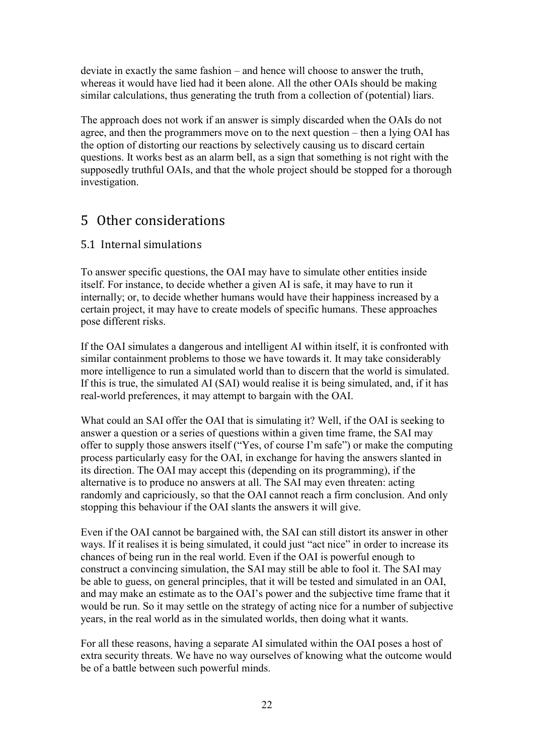deviate in exactly the same fashion – and hence will choose to answer the truth, whereas it would have lied had it been alone. All the other OAIs should be making similar calculations, thus generating the truth from a collection of (potential) liars.

The approach does not work if an answer is simply discarded when the OAIs do not agree, and then the programmers move on to the next question – then a lying OAI has the option of distorting our reactions by selectively causing us to discard certain questions. It works best as an alarm bell, as a sign that something is not right with the supposedly truthful OAIs, and that the whole project should be stopped for a thorough investigation.

## 5 Other considerations

### <span id="page-21-0"></span>5.1 Internal simulations

To answer specific questions, the OAI may have to simulate other entities inside itself. For instance, to decide whether a given AI is safe, it may have to run it internally; or, to decide whether humans would have their happiness increased by a certain project, it may have to create models of specific humans. These approaches pose different risks.

If the OAI simulates a dangerous and intelligent AI within itself, it is confronted with similar containment problems to those we have towards it. It may take considerably more intelligence to run a simulated world than to discern that the world is simulated. If this is true, the simulated AI (SAI) would realise it is being simulated, and, if it has real-world preferences, it may attempt to bargain with the OAI.

What could an SAI offer the OAI that is simulating it? Well, if the OAI is seeking to answer a question or a series of questions within a given time frame, the SAI may offer to supply those answers itself ("Yes, of course I'm safe") or make the computing process particularly easy for the OAI, in exchange for having the answers slanted in its direction. The OAI may accept this (depending on its programming), if the alternative is to produce no answers at all. The SAI may even threaten: acting randomly and capriciously, so that the OAI cannot reach a firm conclusion. And only stopping this behaviour if the OAI slants the answers it will give.

Even if the OAI cannot be bargained with, the SAI can still distort its answer in other ways. If it realises it is being simulated, it could just "act nice" in order to increase its chances of being run in the real world. Even if the OAI is powerful enough to construct a convincing simulation, the SAI may still be able to fool it. The SAI may be able to guess, on general principles, that it will be tested and simulated in an OAI, and may make an estimate as to the OAI's power and the subjective time frame that it would be run. So it may settle on the strategy of acting nice for a number of subjective years, in the real world as in the simulated worlds, then doing what it wants.

For all these reasons, having a separate AI simulated within the OAI poses a host of extra security threats. We have no way ourselves of knowing what the outcome would be of a battle between such powerful minds.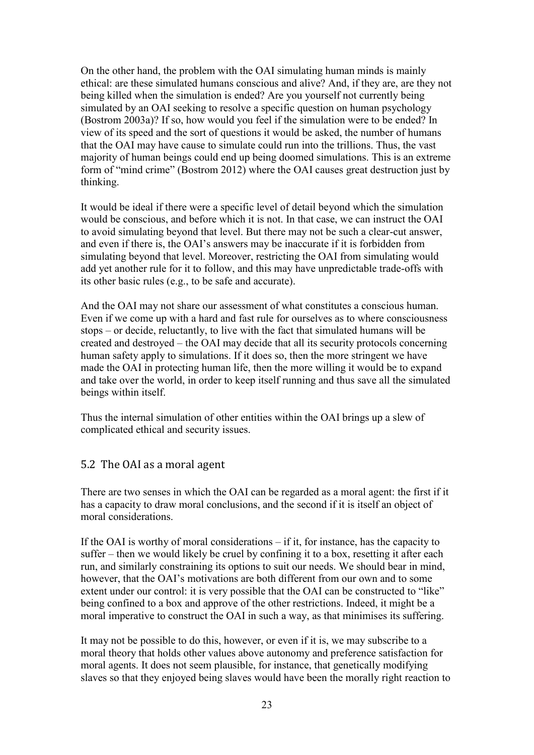On the other hand, the problem with the OAI simulating human minds is mainly ethical: are these simulated humans conscious and alive? And, if they are, are they not being killed when the simulation is ended? Are you yourself not currently being simulated by an OAI seeking to resolve a specific question on human psychology (Bostrom 2003a)? If so, how would you feel if the simulation were to be ended? In view of its speed and the sort of questions it would be asked, the number of humans that the OAI may have cause to simulate could run into the trillions. Thus, the vast majority of human beings could end up being doomed simulations. This is an extreme form of "mind crime" (Bostrom 2012) where the OAI causes great destruction just by thinking.

It would be ideal if there were a specific level of detail beyond which the simulation would be conscious, and before which it is not. In that case, we can instruct the OAI to avoid simulating beyond that level. But there may not be such a clear-cut answer, and even if there is, the OAI's answers may be inaccurate if it is forbidden from simulating beyond that level. Moreover, restricting the OAI from simulating would add yet another rule for it to follow, and this may have unpredictable trade-offs with its other basic rules (e.g., to be safe and accurate).

And the OAI may not share our assessment of what constitutes a conscious human. Even if we come up with a hard and fast rule for ourselves as to where consciousness stops – or decide, reluctantly, to live with the fact that simulated humans will be created and destroyed – the OAI may decide that all its security protocols concerning human safety apply to simulations. If it does so, then the more stringent we have made the OAI in protecting human life, then the more willing it would be to expand and take over the world, in order to keep itself running and thus save all the simulated beings within itself.

Thus the internal simulation of other entities within the OAI brings up a slew of complicated ethical and security issues.

### 5.2 The OAI as a moral agent

There are two senses in which the OAI can be regarded as a moral agent: the first if it has a capacity to draw moral conclusions, and the second if it is itself an object of moral considerations.

If the OAI is worthy of moral considerations – if it, for instance, has the capacity to suffer – then we would likely be cruel by confining it to a box, resetting it after each run, and similarly constraining its options to suit our needs. We should bear in mind, however, that the OAI's motivations are both different from our own and to some extent under our control: it is very possible that the OAI can be constructed to "like" being confined to a box and approve of the other restrictions. Indeed, it might be a moral imperative to construct the OAI in such a way, as that minimises its suffering.

It may not be possible to do this, however, or even if it is, we may subscribe to a moral theory that holds other values above autonomy and preference satisfaction for moral agents. It does not seem plausible, for instance, that genetically modifying slaves so that they enjoyed being slaves would have been the morally right reaction to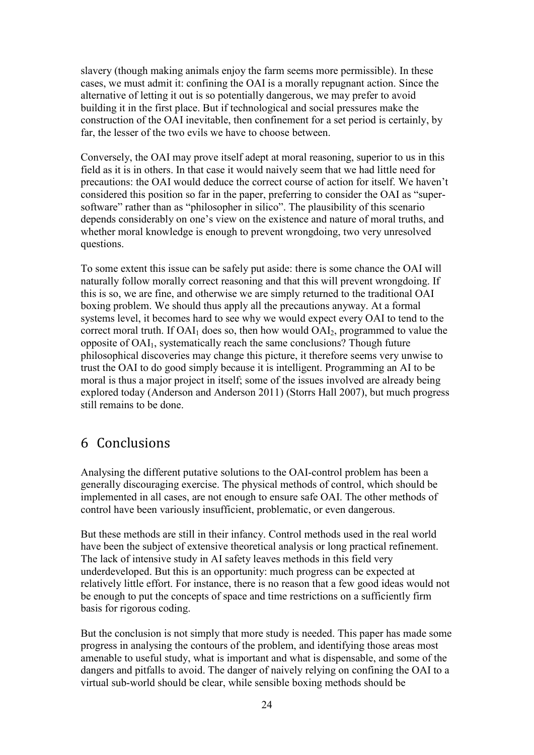slavery (though making animals enjoy the farm seems more permissible). In these cases, we must admit it: confining the OAI is a morally repugnant action. Since the alternative of letting it out is so potentially dangerous, we may prefer to avoid building it in the first place. But if technological and social pressures make the construction of the OAI inevitable, then confinement for a set period is certainly, by far, the lesser of the two evils we have to choose between.

Conversely, the OAI may prove itself adept at moral reasoning, superior to us in this field as it is in others. In that case it would naively seem that we had little need for precautions: the OAI would deduce the correct course of action for itself. We haven't considered this position so far in the paper, preferring to consider the OAI as "supersoftware" rather than as "philosopher in silico". The plausibility of this scenario depends considerably on one's view on the existence and nature of moral truths, and whether moral knowledge is enough to prevent wrongdoing, two very unresolved questions.

To some extent this issue can be safely put aside: there is some chance the OAI will naturally follow morally correct reasoning and that this will prevent wrongdoing. If this is so, we are fine, and otherwise we are simply returned to the traditional OAI boxing problem. We should thus apply all the precautions anyway. At a formal systems level, it becomes hard to see why we would expect every OAI to tend to the correct moral truth. If  $OAI<sub>1</sub>$  does so, then how would  $OAI<sub>2</sub>$ , programmed to value the opposite of OAI1, systematically reach the same conclusions? Though future philosophical discoveries may change this picture, it therefore seems very unwise to trust the OAI to do good simply because it is intelligent. Programming an AI to be moral is thus a major project in itself; some of the issues involved are already being explored today (Anderson and Anderson 2011) (Storrs Hall 2007), but much progress still remains to be done.

## 6 Conclusions

Analysing the different putative solutions to the OAI-control problem has been a generally discouraging exercise. The physical methods of control, which should be implemented in all cases, are not enough to ensure safe OAI. The other methods of control have been variously insufficient, problematic, or even dangerous.

But these methods are still in their infancy. Control methods used in the real world have been the subject of extensive theoretical analysis or long practical refinement. The lack of intensive study in AI safety leaves methods in this field very underdeveloped. But this is an opportunity: much progress can be expected at relatively little effort. For instance, there is no reason that a few good ideas would not be enough to put the concepts of space and time restrictions on a sufficiently firm basis for rigorous coding.

But the conclusion is not simply that more study is needed. This paper has made some progress in analysing the contours of the problem, and identifying those areas most amenable to useful study, what is important and what is dispensable, and some of the dangers and pitfalls to avoid. The danger of naively relying on confining the OAI to a virtual sub-world should be clear, while sensible boxing methods should be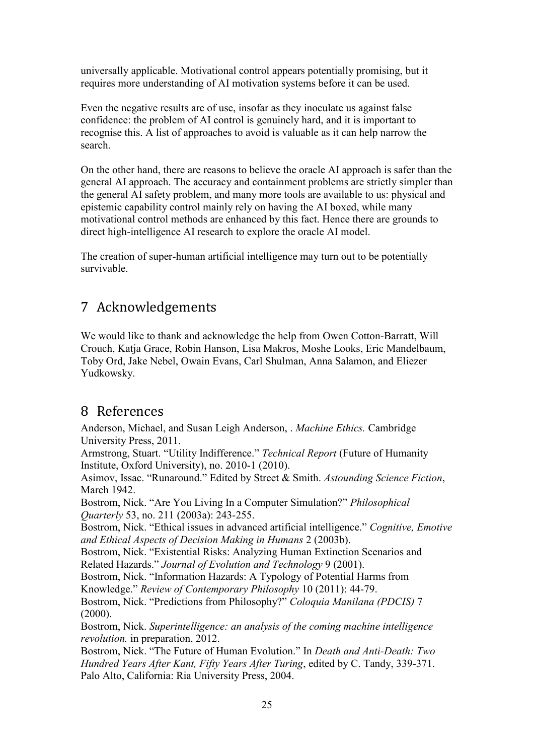universally applicable. Motivational control appears potentially promising, but it requires more understanding of AI motivation systems before it can be used.

Even the negative results are of use, insofar as they inoculate us against false confidence: the problem of AI control is genuinely hard, and it is important to recognise this. A list of approaches to avoid is valuable as it can help narrow the search.

On the other hand, there are reasons to believe the oracle AI approach is safer than the general AI approach. The accuracy and containment problems are strictly simpler than the general AI safety problem, and many more tools are available to us: physical and epistemic capability control mainly rely on having the AI boxed, while many motivational control methods are enhanced by this fact. Hence there are grounds to direct high-intelligence AI research to explore the oracle AI model.

The creation of super-human artificial intelligence may turn out to be potentially survivable.

## 7 Acknowledgements

We would like to thank and acknowledge the help from Owen Cotton-Barratt, Will Crouch, Katja Grace, Robin Hanson, Lisa Makros, Moshe Looks, Eric Mandelbaum, Toby Ord, Jake Nebel, Owain Evans, Carl Shulman, Anna Salamon, and Eliezer Yudkowsky.

## 8 References

Anderson, Michael, and Susan Leigh Anderson, . *Machine Ethics.* Cambridge University Press, 2011.

Armstrong, Stuart. "Utility Indifference." *Technical Report* (Future of Humanity Institute, Oxford University), no. 2010-1 (2010).

Asimov, Issac. "Runaround." Edited by Street & Smith. *Astounding Science Fiction*, March 1942.

Bostrom, Nick. "Are You Living In a Computer Simulation?" *Philosophical Quarterly* 53, no. 211 (2003a): 243-255.

Bostrom, Nick. "Ethical issues in advanced artificial intelligence." *Cognitive, Emotive and Ethical Aspects of Decision Making in Humans* 2 (2003b).

Bostrom, Nick. "Existential Risks: Analyzing Human Extinction Scenarios and Related Hazards." *Journal of Evolution and Technology* 9 (2001).

Bostrom, Nick. "Information Hazards: A Typology of Potential Harms from Knowledge." *Review of Contemporary Philosophy* 10 (2011): 44-79.

Bostrom, Nick. "Predictions from Philosophy?" *Coloquia Manilana (PDCIS)* 7 (2000).

Bostrom, Nick. *Superintelligence: an analysis of the coming machine intelligence revolution.* in preparation, 2012.

Bostrom, Nick. "The Future of Human Evolution." In *Death and Anti-Death: Two Hundred Years After Kant, Fifty Years After Turing*, edited by C. Tandy, 339-371. Palo Alto, California: Ria University Press, 2004.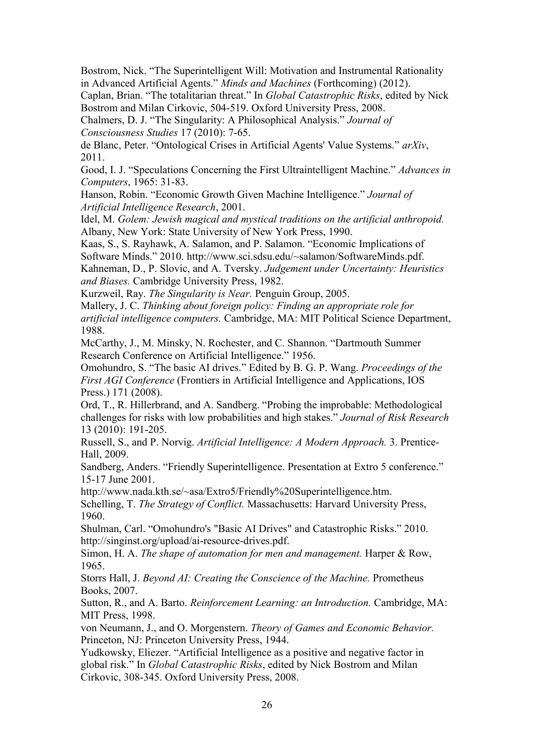Bostrom, Nick. "The Superintelligent Will: Motivation and Instrumental Rationality in Advanced Artificial Agents." *Minds and Machines* (Forthcoming) (2012).

Caplan, Brian. "The totalitarian threat." In *Global Catastrophic Risks*, edited by Nick Bostrom and Milan Cirkovic, 504-519. Oxford University Press, 2008.

Chalmers, D. J. "The Singularity: A Philosophical Analysis." *Journal of Consciousness Studies* 17 (2010): 7-65.

de Blanc, Peter. "Ontological Crises in Artificial Agents' Value Systems." *arXiv*, 2011.

Good, I. J. "Speculations Concerning the First Ultraintelligent Machine." *Advances in Computers*, 1965: 31-83.

Hanson, Robin. "Economic Growth Given Machine Intelligence." *Journal of Artificial Intelligence Research*, 2001.

Idel, M. *Golem: Jewish magical and mystical traditions on the artificial anthropoid.* Albany, New York: State University of New York Press, 1990.

Kaas, S., S. Rayhawk, A. Salamon, and P. Salamon. "Economic Implications of Software Minds." 2010. http://www.sci.sdsu.edu/~salamon/SoftwareMinds.pdf. Kahneman, D., P. Slovic, and A. Tversky. *Judgement under Uncertainty: Heuristics and Biases.* Cambridge University Press, 1982.

Kurzweil, Ray. *The Singularity is Near.* Penguin Group, 2005.

Mallery, J. C. *Thinking about foreign policy: Finding an appropriate role for artificial intelligence computers.* Cambridge, MA: MIT Political Science Department, 1988.

McCarthy, J., M. Minsky, N. Rochester, and C. Shannon. "Dartmouth Summer Research Conference on Artificial Intelligence." 1956.

Omohundro, S. "The basic AI drives." Edited by B. G. P. Wang. *Proceedings of the First AGI Conference* (Frontiers in Artificial Intelligence and Applications, IOS Press.) 171 (2008).

Ord, T., R. Hillerbrand, and A. Sandberg. "Probing the improbable: Methodological challenges for risks with low probabilities and high stakes." *Journal of Risk Research* 13 (2010): 191-205.

Russell, S., and P. Norvig. *Artificial Intelligence: A Modern Approach.* 3. Prentice-Hall, 2009.

Sandberg, Anders. "Friendly Superintelligence. Presentation at Extro 5 conference." 15-17 June 2001.

http://www.nada.kth.se/~asa/Extro5/Friendly%20Superintelligence.htm.

Schelling, T. *The Strategy of Conflict.* Massachusetts: Harvard University Press, 1960.

Shulman, Carl. "Omohundro's "Basic AI Drives" and Catastrophic Risks." 2010. http://singinst.org/upload/ai-resource-drives.pdf.

Simon, H. A. *The shape of automation for men and management.* Harper & Row, 1965.

Storrs Hall, J. *Beyond AI: Creating the Conscience of the Machine.* Prometheus Books, 2007.

Sutton, R., and A. Barto. *Reinforcement Learning: an Introduction.* Cambridge, MA: MIT Press, 1998.

von Neumann, J., and O. Morgenstern. *Theory of Games and Economic Behavior.* Princeton, NJ: Princeton University Press, 1944.

Yudkowsky, Eliezer. "Artificial Intelligence as a positive and negative factor in global risk." In *Global Catastrophic Risks*, edited by Nick Bostrom and Milan Cirkovic, 308-345. Oxford University Press, 2008.